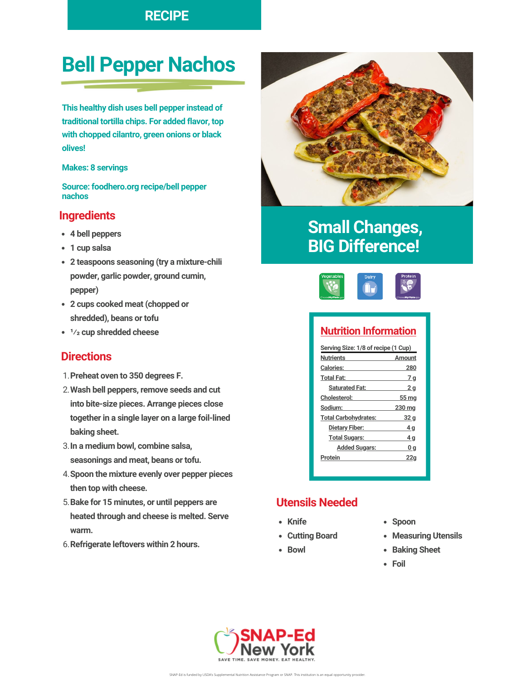### **RECIPE**

# **Bell Pepper Nachos**

**This healthy dish uses bell pepper instead of traditional tortilla chips. For added flavor, top with chopped cilantro, green onions or black olives!**

#### **Makes: 8 servings**

**Source: foodhero.org recipe/bell pepper nachos**

### **Ingredients**

- **4 bell peppers**
- **1 cup salsa**
- **2 teaspoons seasoning (try a mixture-chili powder, garlic powder, ground cumin, pepper)**
- **2 cups cooked meat (chopped or shredded), beans or tofu**
- **¹⁄ cup shredded cheese**

#### **Directions**

- **Preheat oven to 350 degrees F.** 1.
- **Wash bell peppers, remove seeds and cut** 2. **into bite-size pieces. Arrange pieces close together in a single layer on a large foil-lined baking sheet.**
- **In a medium bowl, combine salsa,** 3. **seasonings and meat, beans or tofu.**
- **Spoon the mixture evenly over pepper pieces** 4. **then top with cheese.**
- **Bake for 15 minutes, or until peppers are** 5. **heated through and cheese is melted. Serve warm.**
- **Refrigerate leftovers within 2 hours.** 6.



# **Small Changes, BIG Difference!**



### **Nutrition Information**

| Serving Size: 1/8 of recipe (1 Cup) |                |
|-------------------------------------|----------------|
| <b>Nutrients</b>                    | Amount         |
| <b>Calories:</b>                    | 280            |
| <b>Total Fat:</b>                   | 7 q            |
| <b>Saturated Fat:</b>               | 2 <sub>q</sub> |
| <b>Cholesterol:</b>                 | 55 mg          |
| Sodium:                             | 230 mg         |
| <b>Total Carbohydrates:</b>         | 32 a           |
| Dietary Fiber:                      | 4 q            |
| <b>Total Sugars:</b>                | 4 q            |
| <b>Added Sugars:</b>                | 0q             |
| Protein                             | 22a            |
|                                     |                |

### **Utensils Needed**

- **Knife**
- **Cutting Board**
- Bowl
- **Spoon**
- **Measuring Utensils**
- **Baking Sheet**
- **Foil**

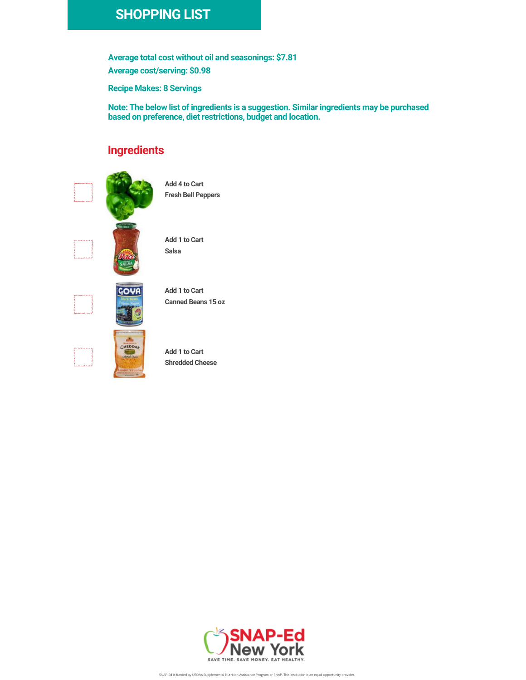## **SHOPPING LIST**

**Average total cost without oil and seasonings: \$7.81 Average cost/serving: \$0.98**

**Recipe Makes: 8 Servings**

**Note: The below list of ingredients is a suggestion. Similar ingredients may be purchased based on preference, diet restrictions, budget and location.**

### **Ingredients**



**Add 4 to Cart Fresh Bell Peppers**





**Add 1 to Cart Canned Beans 15 oz**



**Add 1 to Cart Shredded Cheese**



SNAP-Ed is funded by USDA's Supplemental Nutrition Assistance Program or SNAP. This institution is an equal opportunity provider.